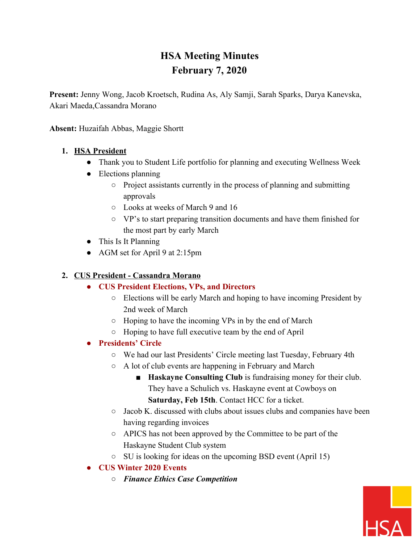# **HSA Meeting Minutes February 7, 2020**

**Present:** Jenny Wong, Jacob Kroetsch, Rudina As, Aly Samji, Sarah Sparks, Darya Kanevska, Akari Maeda,Cassandra Morano

**Absent:** Huzaifah Abbas, Maggie Shortt

#### **1. HSA President**

- Thank you to Student Life portfolio for planning and executing Wellness Week
- Elections planning
	- Project assistants currently in the process of planning and submitting approvals
	- Looks at weeks of March 9 and 16
	- VP's to start preparing transition documents and have them finished for the most part by early March
- This Is It Planning
- AGM set for April 9 at 2:15pm

### **2. CUS President - Cassandra Morano**

- **● CUS President Elections, VPs, and Directors**
	- Elections will be early March and hoping to have incoming President by 2nd week of March
	- Hoping to have the incoming VPs in by the end of March
	- Hoping to have full executive team by the end of April

## **● Presidents' Circle**

- We had our last Presidents' Circle meeting last Tuesday, February 4th
- A lot of club events are happening in February and March
	- **Haskayne Consulting Club** is fundraising money for their club. They have a Schulich vs. Haskayne event at Cowboys on **Saturday, Feb 15th**. Contact HCC for a ticket.
- Jacob K. discussed with clubs about issues clubs and companies have been having regarding invoices
- APICS has not been approved by the Committee to be part of the Haskayne Student Club system
- SU is looking for ideas on the upcoming BSD event (April 15)
- **● CUS Winter 2020 Events**
	- *○ Finance Ethics Case Competition*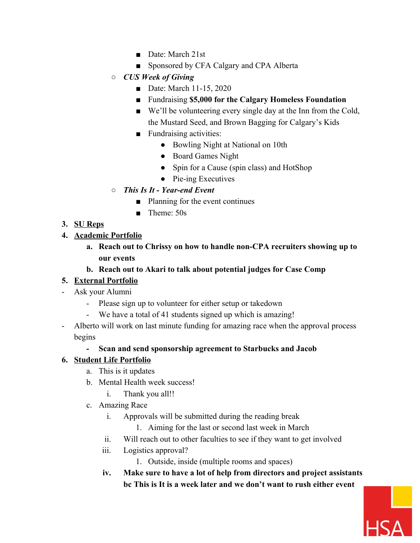- Date: March 21st
- Sponsored by CFA Calgary and CPA Alberta
- *○ CUS Week of Giving*
	- Date: March 11-15, 2020
	- Fundraising \$5,000 for the Calgary Homeless Foundation
	- We'll be volunteering every single day at the Inn from the Cold, the Mustard Seed, and Brown Bagging for Calgary's Kids
	- Fundraising activities:
		- Bowling Night at National on 10th
		- Board Games Night
		- Spin for a Cause (spin class) and HotShop
		- Pie-ing Executives
- *○ This Is It Year-end Event*
	- Planning for the event continues
	- Theme: 50s

## **3. SU Reps**

#### **4. Academic Portfolio**

**a. Reach out to Chrissy on how to handle non-CPA recruiters showing up to our events**

#### **b. Reach out to Akari to talk about potential judges for Case Comp**

## **5. External Portfolio**

- Ask your Alumni
	- Please sign up to volunteer for either setup or takedown
	- We have a total of 41 students signed up which is amazing!
- Alberto will work on last minute funding for amazing race when the approval process begins

## **- Scan and send sponsorship agreement to Starbucks and Jacob**

## **6. Student Life Portfolio**

- a. This is it updates
- b. Mental Health week success!
	- i. Thank you all!!
- c. Amazing Race
	- i. Approvals will be submitted during the reading break
		- 1. Aiming for the last or second last week in March
	- ii. Will reach out to other faculties to see if they want to get involved
	- iii. Logistics approval?
		- 1. Outside, inside (multiple rooms and spaces)
	- **iv. Make sure to have a lot of help from directors and project assistants bc This is It is a week later and we don't want to rush either event**